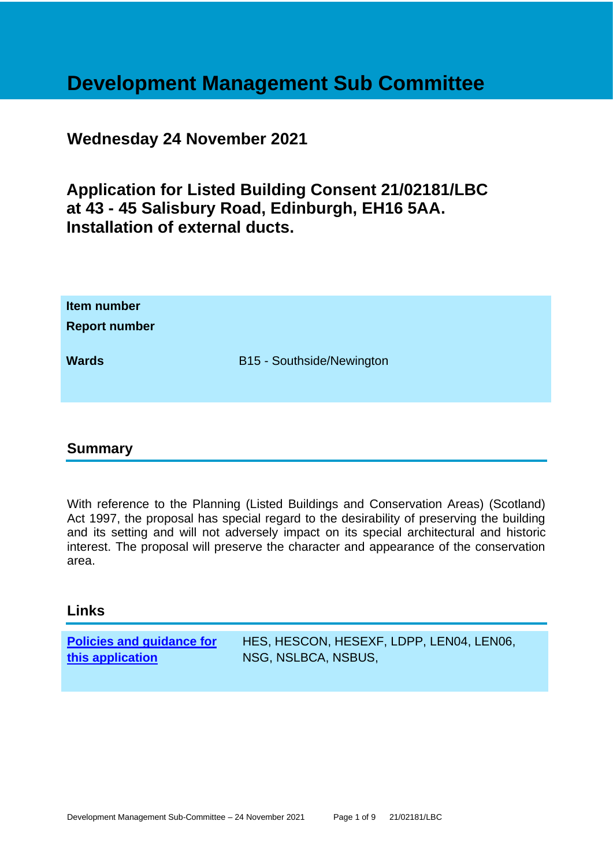# **Development Management Sub Committee**

### **Wednesday 24 November 2021**

# **Application for Listed Building Consent 21/02181/LBC at 43 - 45 Salisbury Road, Edinburgh, EH16 5AA. Installation of external ducts.**

| <b>Report number</b> |                           |
|----------------------|---------------------------|
| <b>Wards</b>         | B15 - Southside/Newington |

### **Summary**

With reference to the Planning (Listed Buildings and Conservation Areas) (Scotland) Act 1997, the proposal has special regard to the desirability of preserving the building and its setting and will not adversely impact on its special architectural and historic interest. The proposal will preserve the character and appearance of the conservation area.

### **Links**

| <b>Policies and guidance for</b> | HES, HESCON, HESEXF, LDPP, LEN04, LEN06, |
|----------------------------------|------------------------------------------|
| this application                 | NSG, NSLBCA, NSBUS,                      |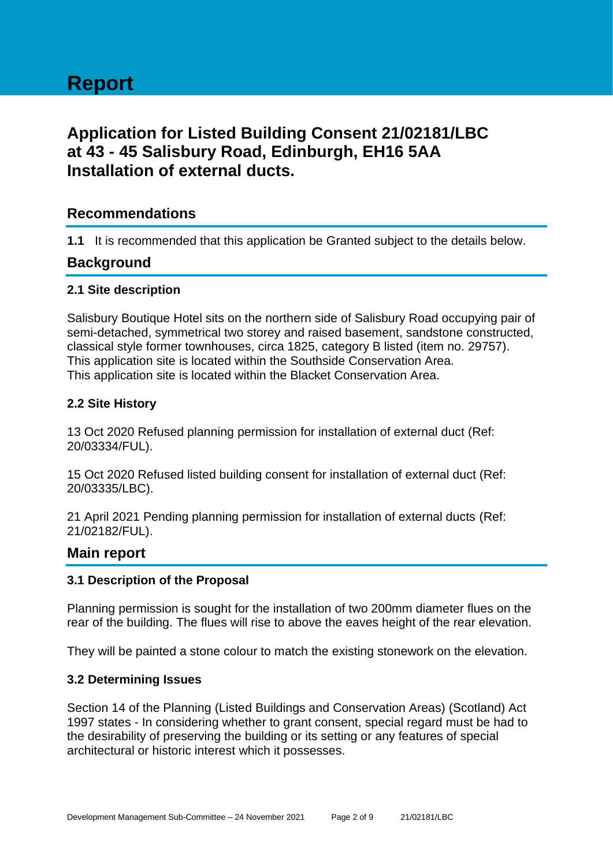## **Application for Listed Building Consent 21/02181/LBC at 43 - 45 Salisbury Road, Edinburgh, EH16 5AA Installation of external ducts.**

### **Recommendations**

**1.1** It is recommended that this application be Granted subject to the details below.

### **Background**

### **2.1 Site description**

Salisbury Boutique Hotel sits on the northern side of Salisbury Road occupying pair of semi-detached, symmetrical two storey and raised basement, sandstone constructed, classical style former townhouses, circa 1825, category B listed (item no. 29757). This application site is located within the Southside Conservation Area. This application site is located within the Blacket Conservation Area.

### **2.2 Site History**

13 Oct 2020 Refused planning permission for installation of external duct (Ref: 20/03334/FUL).

15 Oct 2020 Refused listed building consent for installation of external duct (Ref: 20/03335/LBC).

21 April 2021 Pending planning permission for installation of external ducts (Ref: 21/02182/FUL).

### **Main report**

#### **3.1 Description of the Proposal**

Planning permission is sought for the installation of two 200mm diameter flues on the rear of the building. The flues will rise to above the eaves height of the rear elevation.

They will be painted a stone colour to match the existing stonework on the elevation.

#### **3.2 Determining Issues**

Section 14 of the Planning (Listed Buildings and Conservation Areas) (Scotland) Act 1997 states - In considering whether to grant consent, special regard must be had to the desirability of preserving the building or its setting or any features of special architectural or historic interest which it possesses.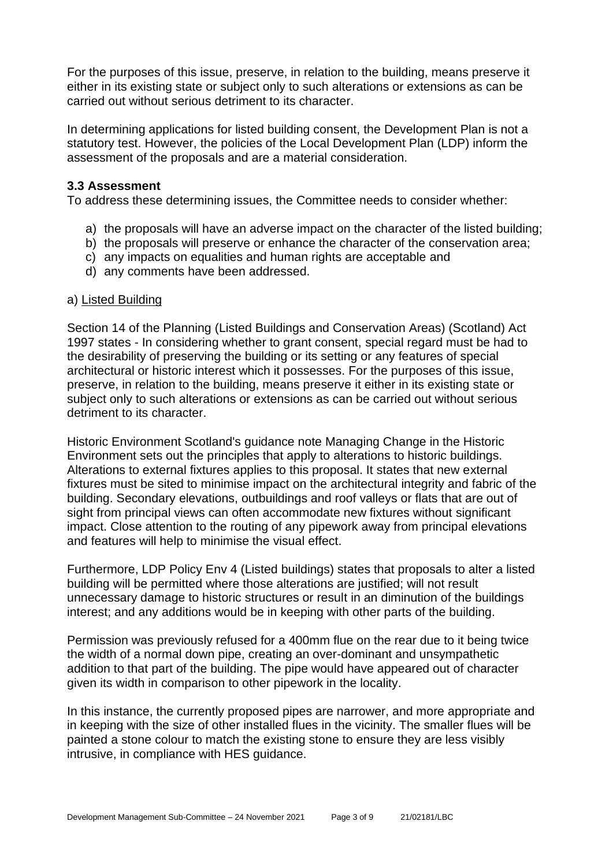For the purposes of this issue, preserve, in relation to the building, means preserve it either in its existing state or subject only to such alterations or extensions as can be carried out without serious detriment to its character.

In determining applications for listed building consent, the Development Plan is not a statutory test. However, the policies of the Local Development Plan (LDP) inform the assessment of the proposals and are a material consideration.

#### **3.3 Assessment**

To address these determining issues, the Committee needs to consider whether:

- a) the proposals will have an adverse impact on the character of the listed building;
- b) the proposals will preserve or enhance the character of the conservation area;
- c) any impacts on equalities and human rights are acceptable and
- d) any comments have been addressed.

### a) Listed Building

Section 14 of the Planning (Listed Buildings and Conservation Areas) (Scotland) Act 1997 states - In considering whether to grant consent, special regard must be had to the desirability of preserving the building or its setting or any features of special architectural or historic interest which it possesses. For the purposes of this issue, preserve, in relation to the building, means preserve it either in its existing state or subject only to such alterations or extensions as can be carried out without serious detriment to its character.

Historic Environment Scotland's guidance note Managing Change in the Historic Environment sets out the principles that apply to alterations to historic buildings. Alterations to external fixtures applies to this proposal. It states that new external fixtures must be sited to minimise impact on the architectural integrity and fabric of the building. Secondary elevations, outbuildings and roof valleys or flats that are out of sight from principal views can often accommodate new fixtures without significant impact. Close attention to the routing of any pipework away from principal elevations and features will help to minimise the visual effect.

Furthermore, LDP Policy Env 4 (Listed buildings) states that proposals to alter a listed building will be permitted where those alterations are justified; will not result unnecessary damage to historic structures or result in an diminution of the buildings interest; and any additions would be in keeping with other parts of the building.

Permission was previously refused for a 400mm flue on the rear due to it being twice the width of a normal down pipe, creating an over-dominant and unsympathetic addition to that part of the building. The pipe would have appeared out of character given its width in comparison to other pipework in the locality.

In this instance, the currently proposed pipes are narrower, and more appropriate and in keeping with the size of other installed flues in the vicinity. The smaller flues will be painted a stone colour to match the existing stone to ensure they are less visibly intrusive, in compliance with HES guidance.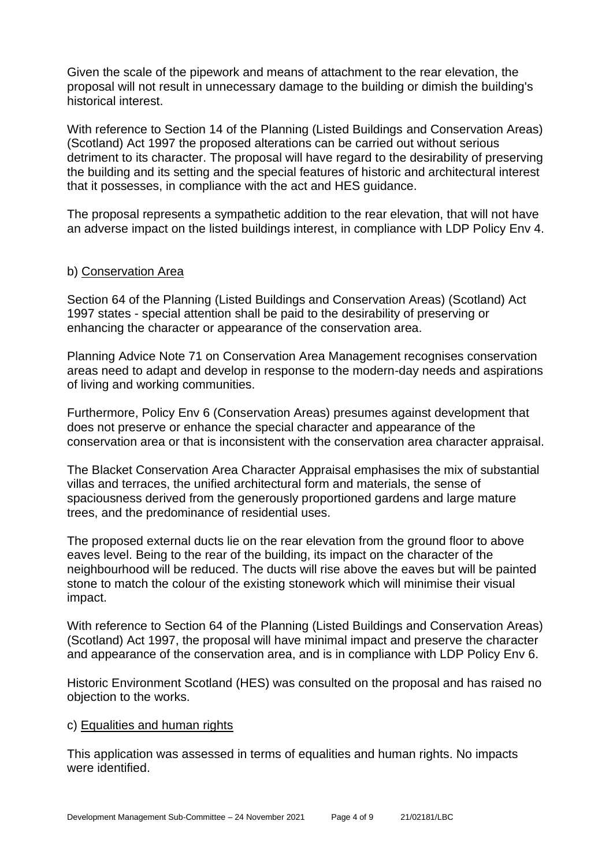Given the scale of the pipework and means of attachment to the rear elevation, the proposal will not result in unnecessary damage to the building or dimish the building's historical interest.

With reference to Section 14 of the Planning (Listed Buildings and Conservation Areas) (Scotland) Act 1997 the proposed alterations can be carried out without serious detriment to its character. The proposal will have regard to the desirability of preserving the building and its setting and the special features of historic and architectural interest that it possesses, in compliance with the act and HES guidance.

The proposal represents a sympathetic addition to the rear elevation, that will not have an adverse impact on the listed buildings interest, in compliance with LDP Policy Env 4.

### b) Conservation Area

Section 64 of the Planning (Listed Buildings and Conservation Areas) (Scotland) Act 1997 states - special attention shall be paid to the desirability of preserving or enhancing the character or appearance of the conservation area.

Planning Advice Note 71 on Conservation Area Management recognises conservation areas need to adapt and develop in response to the modern-day needs and aspirations of living and working communities.

Furthermore, Policy Env 6 (Conservation Areas) presumes against development that does not preserve or enhance the special character and appearance of the conservation area or that is inconsistent with the conservation area character appraisal.

The Blacket Conservation Area Character Appraisal emphasises the mix of substantial villas and terraces, the unified architectural form and materials, the sense of spaciousness derived from the generously proportioned gardens and large mature trees, and the predominance of residential uses.

The proposed external ducts lie on the rear elevation from the ground floor to above eaves level. Being to the rear of the building, its impact on the character of the neighbourhood will be reduced. The ducts will rise above the eaves but will be painted stone to match the colour of the existing stonework which will minimise their visual impact.

With reference to Section 64 of the Planning (Listed Buildings and Conservation Areas) (Scotland) Act 1997, the proposal will have minimal impact and preserve the character and appearance of the conservation area, and is in compliance with LDP Policy Env 6.

Historic Environment Scotland (HES) was consulted on the proposal and has raised no objection to the works.

#### c) Equalities and human rights

This application was assessed in terms of equalities and human rights. No impacts were identified.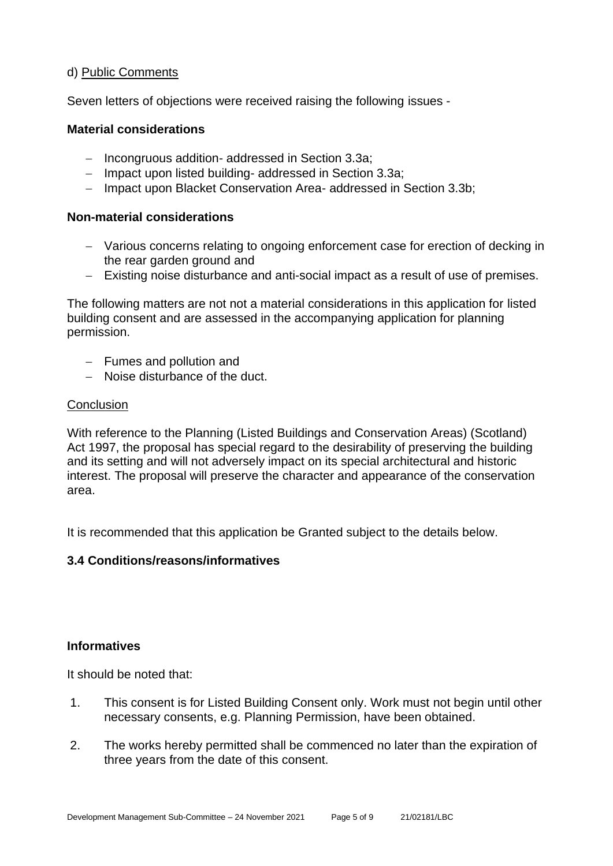### d) Public Comments

Seven letters of objections were received raising the following issues -

### **Material considerations**

- − Incongruous addition- addressed in Section 3.3a;
- − Impact upon listed building- addressed in Section 3.3a;
- − Impact upon Blacket Conservation Area- addressed in Section 3.3b;

### **Non-material considerations**

- − Various concerns relating to ongoing enforcement case for erection of decking in the rear garden ground and
- − Existing noise disturbance and anti-social impact as a result of use of premises.

The following matters are not not a material considerations in this application for listed building consent and are assessed in the accompanying application for planning permission.

- − Fumes and pollution and
- − Noise disturbance of the duct.

### **Conclusion**

With reference to the Planning (Listed Buildings and Conservation Areas) (Scotland) Act 1997, the proposal has special regard to the desirability of preserving the building and its setting and will not adversely impact on its special architectural and historic interest. The proposal will preserve the character and appearance of the conservation area.

It is recommended that this application be Granted subject to the details below.

### **3.4 Conditions/reasons/informatives**

### **Informatives**

It should be noted that:

- 1. This consent is for Listed Building Consent only. Work must not begin until other necessary consents, e.g. Planning Permission, have been obtained.
- 2. The works hereby permitted shall be commenced no later than the expiration of three years from the date of this consent.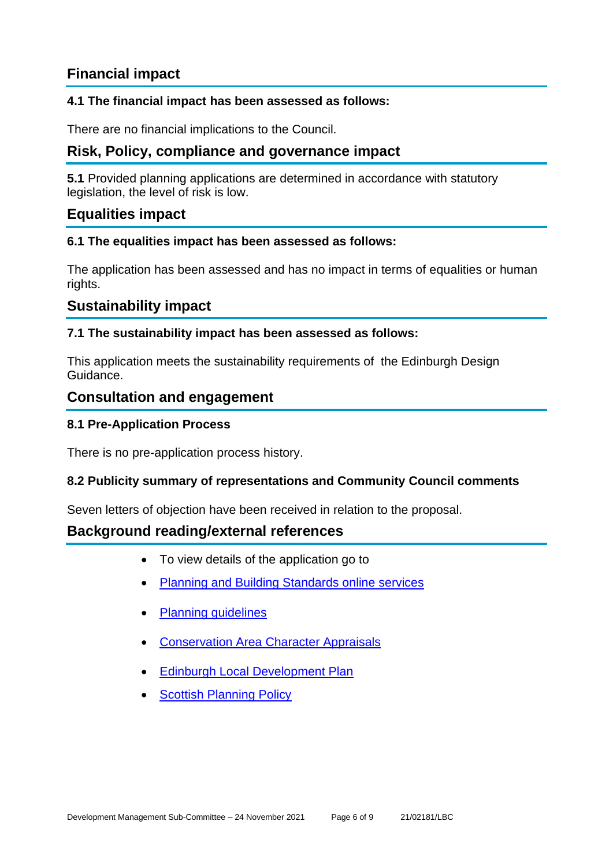### **Financial impact**

### **4.1 The financial impact has been assessed as follows:**

There are no financial implications to the Council.

### **Risk, Policy, compliance and governance impact**

**5.1** Provided planning applications are determined in accordance with statutory legislation, the level of risk is low.

### **Equalities impact**

### **6.1 The equalities impact has been assessed as follows:**

The application has been assessed and has no impact in terms of equalities or human rights.

### **Sustainability impact**

### **7.1 The sustainability impact has been assessed as follows:**

This application meets the sustainability requirements of the Edinburgh Design Guidance.

### **Consultation and engagement**

### **8.1 Pre-Application Process**

There is no pre-application process history.

### **8.2 Publicity summary of representations and Community Council comments**

Seven letters of objection have been received in relation to the proposal.

### **Background reading/external references**

- To view details of the application go to
- [Planning and Building Standards online services](https://citydev-portal.edinburgh.gov.uk/idoxpa-web/search.do?action=simple&searchType=Application)
- [Planning guidelines](http://www.edinburgh.gov.uk/planningguidelines)
- [Conservation Area Character Appraisals](http://www.edinburgh.gov.uk/characterappraisals)
- [Edinburgh Local Development Plan](http://www.edinburgh.gov.uk/localdevelopmentplan)
- **[Scottish Planning Policy](http://www.scotland.gov.uk/Topics/Built-Environment/planning/Policy)**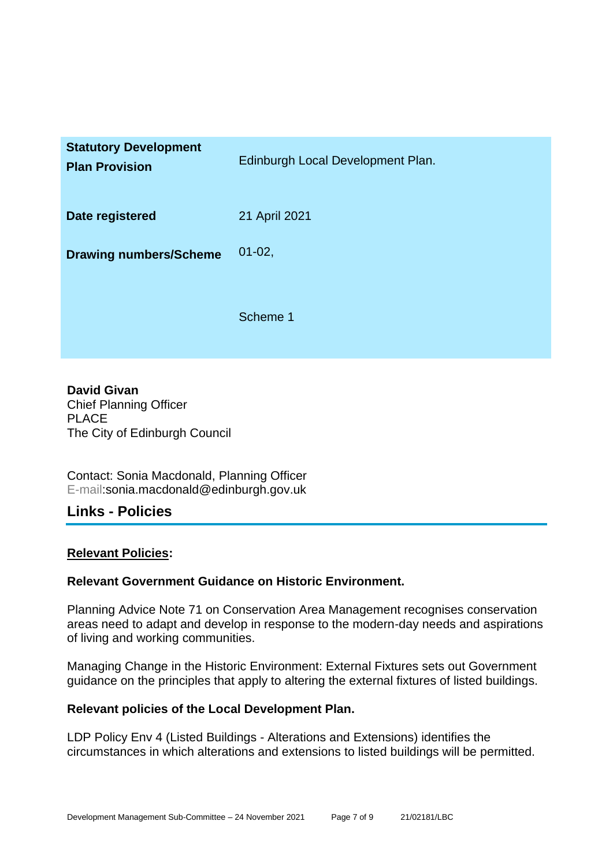| <b>Statutory Development</b><br><b>Plan Provision</b> | Edinburgh Local Development Plan. |
|-------------------------------------------------------|-----------------------------------|
| Date registered                                       | 21 April 2021                     |
| <b>Drawing numbers/Scheme</b>                         | $01 - 02$ ,                       |
|                                                       | Scheme 1                          |

**David Givan** Chief Planning Officer PLACE The City of Edinburgh Council

Contact: Sonia Macdonald, Planning Officer E-mail:sonia.macdonald@edinburgh.gov.uk

### **Links - Policies**

### **Relevant Policies:**

### **Relevant Government Guidance on Historic Environment.**

Planning Advice Note 71 on Conservation Area Management recognises conservation areas need to adapt and develop in response to the modern-day needs and aspirations of living and working communities.

Managing Change in the Historic Environment: External Fixtures sets out Government guidance on the principles that apply to altering the external fixtures of listed buildings.

#### **Relevant policies of the Local Development Plan.**

LDP Policy Env 4 (Listed Buildings - Alterations and Extensions) identifies the circumstances in which alterations and extensions to listed buildings will be permitted.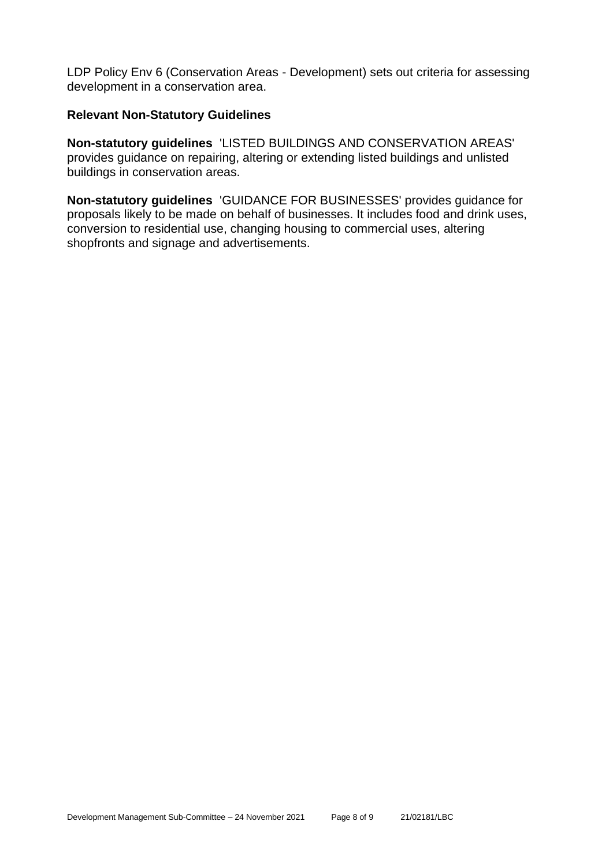LDP Policy Env 6 (Conservation Areas - Development) sets out criteria for assessing development in a conservation area.

#### **Relevant Non-Statutory Guidelines**

**Non-statutory guidelines** 'LISTED BUILDINGS AND CONSERVATION AREAS' provides guidance on repairing, altering or extending listed buildings and unlisted buildings in conservation areas.

**Non-statutory guidelines** 'GUIDANCE FOR BUSINESSES' provides guidance for proposals likely to be made on behalf of businesses. It includes food and drink uses, conversion to residential use, changing housing to commercial uses, altering shopfronts and signage and advertisements.